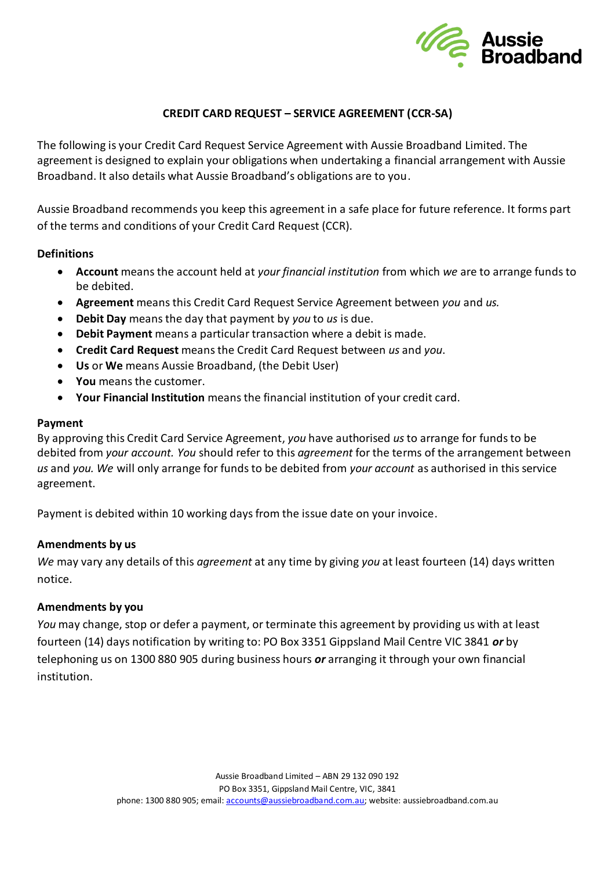

### **CREDIT CARD REQUEST – SERVICE AGREEMENT (CCR-SA)**

The following is your Credit Card Request Service Agreement with Aussie Broadband Limited. The agreement is designed to explain your obligations when undertaking a financial arrangement with Aussie Broadband. It also details what Aussie Broadband's obligations are to you.

Aussie Broadband recommends you keep this agreement in a safe place for future reference. It forms part of the terms and conditions of your Credit Card Request (CCR).

### **Definitions**

- **Account** means the account held at *your financial institution* from which *we* are to arrange funds to be debited.
- **Agreement** means this Credit Card Request Service Agreement between *you* and *us.*
- **Debit Day** means the day that payment by *you* to *us* is due.
- **Debit Payment** means a particular transaction where a debit is made.
- **Credit Card Request** means the Credit Card Request between *us* and *you*.
- **Us** or **We** means Aussie Broadband, (the Debit User)
- **You** means the customer.
- **Your Financial Institution** means the financial institution of your credit card.

#### **Payment**

By approving this Credit Card Service Agreement, *you* have authorised *us* to arrange for funds to be debited from *your account. You* should refer to this *agreement* for the terms of the arrangement between *us* and *you. We* will only arrange for funds to be debited from *your account* as authorised in this service agreement.

Payment is debited within 10 working days from the issue date on your invoice.

### **Amendments by us**

*We* may vary any details of this *agreement* at any time by giving *you* at least fourteen (14) days written notice.

### **Amendments by you**

*You* may change, stop or defer a payment, or terminate this agreement by providing us with at least fourteen (14) days notification by writing to: PO Box 3351 Gippsland Mail Centre VIC 3841 *or* by telephoning us on 1300 880 905 during business hours *or* arranging it through your own financial institution.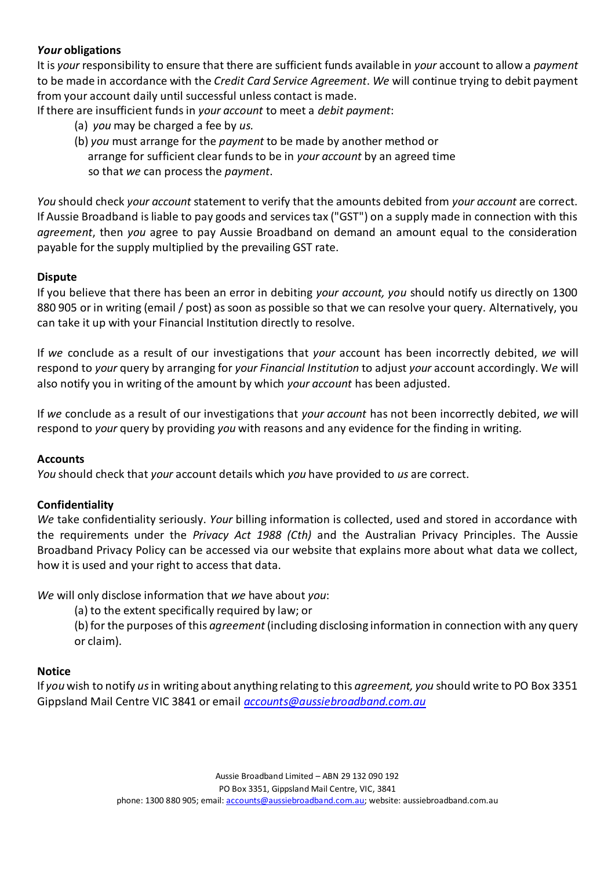# *Your* **obligations**

It is *your* responsibility to ensure that there are sufficient funds available in *your* account to allow a *payment*  to be made in accordance with the *Credit Card Service Agreement*. *We* will continue trying to debit payment from your account daily until successful unless contact is made.

If there are insufficient funds in *your account* to meet a *debit payment*:

- (a) *you* may be charged a fee by *us.*
- (b) *you* must arrange for the *payment* to be made by another method or arrange for sufficient clear funds to be in *your account* by an agreed time so that *we* can process the *payment*.

*You* should check *your account* statement to verify that the amounts debited from *your account* are correct. If Aussie Broadband is liable to pay goods and services tax ("GST") on a supply made in connection with this *agreement*, then *you* agree to pay Aussie Broadband on demand an amount equal to the consideration payable for the supply multiplied by the prevailing GST rate.

### **Dispute**

If you believe that there has been an error in debiting *your account, you* should notify us directly on 1300 880 905 or in writing (email / post) as soon as possible so that we can resolve your query. Alternatively, you can take it up with your Financial Institution directly to resolve.

If *we* conclude as a result of our investigations that *your* account has been incorrectly debited, *we* will respond to *your* query by arranging for *your Financial Institution* to adjust *your* account accordingly. W*e* will also notify you in writing of the amount by which *your account* has been adjusted.

If *we* conclude as a result of our investigations that *your account* has not been incorrectly debited, *we* will respond to *your* query by providing *you* with reasons and any evidence for the finding in writing.

### **Accounts**

*You* should check that *your* account details which *you* have provided to *us* are correct.

# **Confidentiality**

*We* take confidentiality seriously. *Your* billing information is collected, used and stored in accordance with the requirements under the *Privacy Act 1988 (Cth)* and the Australian Privacy Principles. The Aussie Broadband Privacy Policy can be accessed via our website that explains more about what data we collect, how it is used and your right to access that data.

*We* will only disclose information that *we* have about *you*:

(a) to the extent specifically required by law; or

(b) for the purposes of this *agreement* (including disclosing information in connection with any query or claim).

# **Notice**

If *you* wish to notify *us* in writing about anything relating to this *agreement, you* should write to PO Box 3351 Gippsland Mail Centre VIC 3841 or email *[accounts@aussiebroadband.com.au](mailto:accounts@aussiebroadband.com.au)*